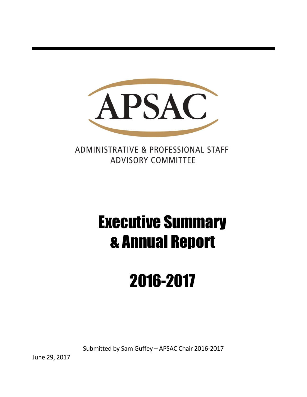

ADMINISTRATIVE & PROFESSIONAL STAFF **ADVISORY COMMITTEE** 

# Executive Summary & Annual Report

# 2016-2017

Submitted by Sam Guffey – APSAC Chair 2016-2017

June 29, 2017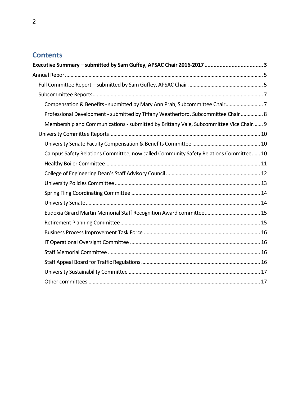# **Contents**

| Compensation & Benefits - submitted by Mary Ann Prah, Subcommittee Chair 7            |  |
|---------------------------------------------------------------------------------------|--|
| Professional Development - submitted by Tiffany Weatherford, Subcommittee Chair  8    |  |
| Membership and Communications - submitted by Brittany Vale, Subcommittee Vice Chair 9 |  |
|                                                                                       |  |
|                                                                                       |  |
| Campus Safety Relations Committee, now called Community Safety Relations Committee 10 |  |
|                                                                                       |  |
|                                                                                       |  |
|                                                                                       |  |
|                                                                                       |  |
|                                                                                       |  |
|                                                                                       |  |
|                                                                                       |  |
|                                                                                       |  |
|                                                                                       |  |
|                                                                                       |  |
|                                                                                       |  |
|                                                                                       |  |
|                                                                                       |  |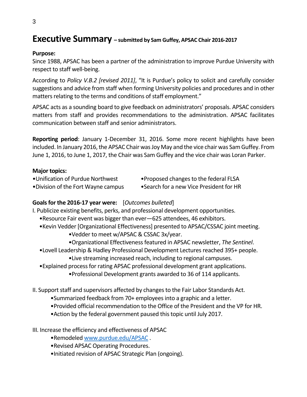# <span id="page-2-0"></span>**Executive Summary – submitted by Sam Guffey, APSAC Chair 2016-2017**

#### **Purpose:**

Since 1988, APSAC has been a partner of the administration to improve Purdue University with respect to staff well-being.

According to *Policy V.B.2 [revised 2011]*, "It is Purdue's policy to solicit and carefully consider suggestions and advice from staff when forming University policies and procedures and in other matters relating to the terms and conditions of staff employment."

APSAC acts as a sounding board to give feedback on administrators' proposals. APSAC considers matters from staff and provides recommendations to the administration. APSAC facilitates communication between staff and senior administrators.

**Reporting period**: January 1-December 31, 2016. Some more recent highlights have been included. In January 2016, the APSAC Chair was Joy May and the vice chair was Sam Guffey. From June 1, 2016, to June 1, 2017, the Chair was Sam Guffey and the vice chair was Loran Parker.

#### **Major topics:**

- •Unification of Purdue Northwest • Proposed changes to the federal FLSA
- 
- 
- •Division of the Fort Wayne campus •Search for a new Vice President for HR
- 

## **Goals for the 2016-17 year were:** [*Outcomes bulleted*]

I. Publicize existing benefits, perks, and professional development opportunities.

- •Resource Fair event was bigger than ever—625 attendees, 46 exhibitors.
- •Kevin Vedder [Organizational Effectiveness] presented to APSAC/CSSAC joint meeting. •Vedder to meet w/APSAC & CSSAC 3x/year.
	- •Organizational Effectiveness featured in APSAC newsletter, *The Sentinel*.
- •Lovell Leadership & Hadley Professional Development Lectures reached 395+ people.
	- •Live streaming increased reach, including to regional campuses.
- •Explained process for rating APSAC professional development grant applications.
	- •Professional Development grants awarded to 36 of 114 applicants.
- II. Support staff and supervisors affected by changes to the Fair Labor Standards Act.
	- •Summarized feedback from 70+ employeesinto a graphic and a letter.
	- •Provided official recommendation to the Office of the President and the VP for HR.
	- •Action by the federal government paused this topic until July 2017.
- III. Increase the efficiency and effectiveness of APSAC
	- •Remodeled [www.purdue.edu/APSAC](http://www.purdue.edu/APSAC) .
	- •Revised APSAC Operating Procedures.
	- •Initiated revision of APSAC Strategic Plan (ongoing).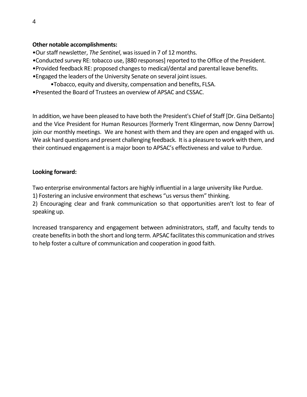#### **Other notable accomplishments:**

- •Our staff newsletter, *The Sentinel*, was issued in 7 of 12 months.
- *•*Conducted survey RE: tobacco use, [880 responses] reported to the Office of the President.
- •Provided feedback RE: proposed changes to medical/dental and parental leave benefits.
- *•*Engaged the leaders of the University Senate on several joint issues.
	- *•*Tobacco, equity and diversity, compensation and benefits, FLSA.
- •Presented the Board of Trustees an overview of APSAC and CSSAC.

In addition, we have been pleased to have both the President's Chief of Staff [Dr. Gina DelSanto] and the Vice President for Human Resources [formerly Trent Klingerman, now Denny Darrow] join our monthly meetings. We are honest with them and they are open and engaged with us. We ask hard questions and present challenging feedback. It is a pleasure to work with them, and their continued engagement is a major boon to APSAC's effectiveness and value to Purdue.

#### **Looking forward:**

Two enterprise environmental factors are highly influential in a large university like Purdue.

1) Fostering an inclusive environment that eschews "us versus them" thinking.

2) Encouraging clear and frank communication so that opportunities aren't lost to fear of speaking up.

<span id="page-3-0"></span>Increased transparency and engagement between administrators, staff, and faculty tends to create benefits in both the short and long term. APSAC facilitates this communication and strives to help foster a culture of communication and cooperation in good faith.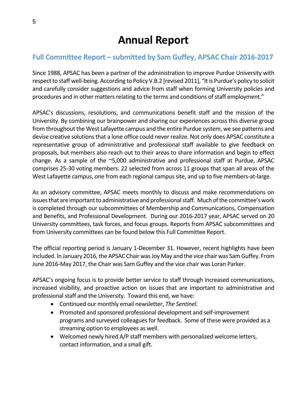# <span id="page-4-0"></span>**Full Committee Report – submitted by Sam Guffey, APSAC Chair 2016-2017**

Since 1988, APSAC has been a partner of the administration to improve Purdue University with respect to staff well-being. According to Policy V.B.2 [revised 2011], "It is Purdue's policy to solicit and carefully consider suggestions and advice from staff when forming University policies and procedures and in other matters relating to the terms and conditions of staff employment."

APSAC's discussions, resolutions, and communications benefit staff and the mission of the University. By combining our brainpower and sharing our experiences across this diverse group from throughout the West Lafayette campus and the entire Purdue system, we see patterns and devise creative solutions that a lone office could never realize. Not only does APSAC constitute a representative group of administrative and professional staff available to give feedback on proposals, but members also reach out to their areas to share information and begin to effect change. As a sample of the ~5,000 administrative and professional staff at Purdue, APSAC comprises 25-30 voting members: 22 selected from across 11 groups that span all areas of the West Lafayette campus, one from each regional campus site, and up to five members-at-large.

As an advisory committee, APSAC meets monthly to discuss and make recommendations on issues that are important to administrative and professional staff. Much of the committee's work is completed through our subcommittees of Membership and Communications, Compensation and Benefits, and Professional Development. During our 2016-2017 year, APSAC served on 20 University committees, task forces, and focus groups. Reports from APSAC subcommittees and from University committees can be found below this Full Committee Report.

The official reporting period is January 1-December 31. However, recent highlights have been included. In January 2016, the APSAC Chair was Joy May and the vice chair was Sam Guffey. From June 2016-May 2017, the Chair was Sam Guffey and the vice chair was Loran Parker.

APSAC's ongoing focus is to provide better service to staff through increased communications, increased visibility, and proactive action on issues that are important to administrative and professional staff and the University. Toward this end, we have:

- Continued our monthly email newsletter, *The Sentinel.*
- Promoted and sponsored professional development and self-improvement programs and surveyed colleagues for feedback. Some of these were provided as a streaming option to employees as well.
- Welcomed newly hired A/P staff members with personalized welcome letters, contact information, and a small gift.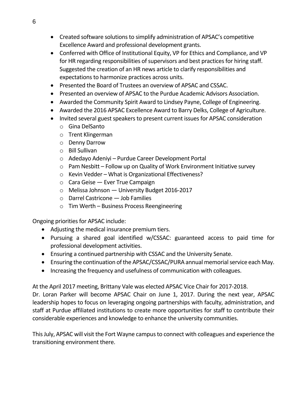- Created software solutions to simplify administration of APSAC's competitive Excellence Award and professional development grants.
- Conferred with Office of Institutional Equity, VP for Ethics and Compliance, and VP for HR regarding responsibilities of supervisors and best practices for hiring staff. Suggested the creation of an HR news article to clarify responsibilities and expectations to harmonize practices across units.
- Presented the Board of Trustees an overview of APSAC and CSSAC.
- Presented an overview of APSAC to the Purdue Academic Advisors Association.
- Awarded the Community Spirit Award to Lindsey Payne, College of Engineering.
- Awarded the 2016 APSAC Excellence Award to Barry Delks, College of Agriculture.
- Invited several guest speakers to present current issues for APSAC consideration
	- o Gina DelSanto
	- o Trent Klingerman
	- o Denny Darrow
	- o Bill Sullivan
	- o Adedayo Adeniyi Purdue Career Development Portal
	- $\circ$  Pam Nesbitt Follow up on Quality of Work Environment Initiative survey
	- o Kevin Vedder What is Organizational Effectiveness?
	- $\circ$  Cara Geise Ever True Campaign
	- o Melissa Johnson University Budget 2016-2017
	- o Darrel Castricone Job Families
	- o Tim Werth Business Process Reengineering

Ongoing priorities for APSAC include:

- Adjusting the medical insurance premium tiers.
- Pursuing a shared goal identified w/CSSAC: guaranteed access to paid time for professional development activities.
- Ensuring a continued partnership with CSSAC and the University Senate.
- Ensuring the continuation of the APSAC/CSSAC/PURA annual memorial service each May.
- Increasing the frequency and usefulness of communication with colleagues.

At the April 2017 meeting, Brittany Vale was elected APSAC Vice Chair for 2017-2018.

Dr. Loran Parker will become APSAC Chair on June 1, 2017. During the next year, APSAC leadership hopes to focus on leveraging ongoing partnerships with faculty, administration, and staff at Purdue affiliated institutions to create more opportunities for staff to contribute their considerable experiences and knowledge to enhance the university communities.

This July, APSAC will visit the Fort Wayne campus to connect with colleagues and experience the transitioning environment there.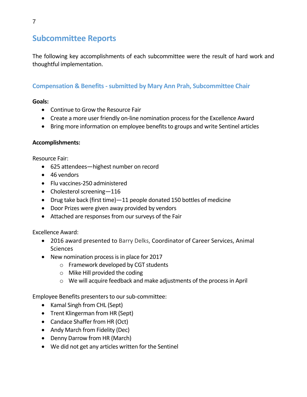# <span id="page-6-0"></span>**Subcommittee Reports**

The following key accomplishments of each subcommittee were the result of hard work and thoughtful implementation.

## <span id="page-6-1"></span>**Compensation & Benefits - submitted by Mary Ann Prah, Subcommittee Chair**

## **Goals:**

- Continue to Grow the Resource Fair
- Create a more user friendly on-line nomination process for the Excellence Award
- Bring more information on employee benefits to groups and write Sentinel articles

#### **Accomplishments:**

Resource Fair:

- 625 attendees—highest number on record
- 46 vendors
- Flu vaccines-250 administered
- Cholesterol screening-116
- Drug take back (first time)—11 people donated 150 bottles of medicine
- Door Prizes were given away provided by vendors
- Attached are responses from our surveys of the Fair

Excellence Award:

- 2016 award presented to Barry Delks, Coordinator of Career Services, Animal Sciences
- New nomination process is in place for 2017
	- o Framework developed by CGT students
	- o Mike Hill provided the coding
	- o We will acquire feedback and make adjustments of the process in April

Employee Benefits presenters to our sub-committee:

- Kamal Singh from CHL (Sept)
- Trent Klingerman from HR (Sept)
- Candace Shaffer from HR (Oct)
- Andy March from Fidelity (Dec)
- Denny Darrow from HR (March)
- We did not get any articles written for the Sentinel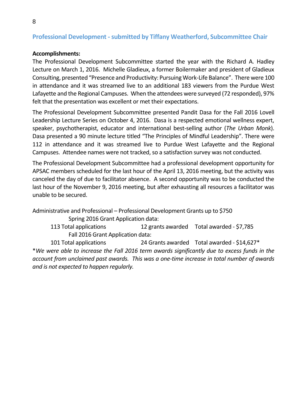#### <span id="page-7-0"></span>**Professional Development - submitted by Tiffany Weatherford, Subcommittee Chair**

#### **Accomplishments:**

The Professional Development Subcommittee started the year with the Richard A. Hadley Lecture on March 1, 2016. Michelle Gladieux, a former Boilermaker and president of Gladieux Consulting, presented "Presence and Productivity: Pursuing Work-Life Balance". There were 100 in attendance and it was streamed live to an additional 183 viewers from the Purdue West Lafayette and the Regional Campuses. When the attendees were surveyed (72 responded), 97% felt that the presentation was excellent or met their expectations.

The Professional Development Subcommittee presented Pandit Dasa for the Fall 2016 Lovell Leadership Lecture Series on October 4, 2016. Dasa is a respected emotional wellness expert, speaker, psychotherapist, educator and international best-selling author (*The Urban Monk*). Dasa presented a 90 minute lecture titled "The Principles of Mindful Leadership". There were 112 in attendance and it was streamed live to Purdue West Lafayette and the Regional Campuses. Attendee names were not tracked, so a satisfaction survey was not conducted.

The Professional Development Subcommittee had a professional development opportunity for APSAC members scheduled for the last hour of the April 13, 2016 meeting, but the activity was canceled the day of due to facilitator absence. A second opportunity was to be conducted the last hour of the November 9, 2016 meeting, but after exhausting all resources a facilitator was unable to be secured.

Administrative and Professional – Professional Development Grants up to \$750 Spring 2016 Grant Application data: 113 Total applications 12 grants awarded Total awarded - \$7,785 Fall 2016 Grant Application data: 101 Total applications 24 Grants awarded Total awarded - \$14,627\* \**We were able to increase the Fall 2016 term awards significantly due to excess funds in the account from unclaimed past awards. This was a one-time increase in total number of awards* 

*and is not expected to happen regularly.*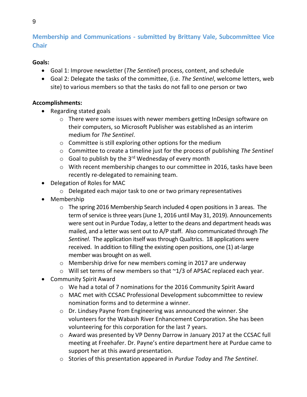# <span id="page-8-0"></span>**Membership and Communications - submitted by Brittany Vale, Subcommittee Vice Chair**

#### **Goals:**

- Goal 1: Improve newsletter (*The Sentinel*) process, content, and schedule
- Goal 2: Delegate the tasks of the committee, (i.e. *The Sentinel*, welcome letters, web site) to various members so that the tasks do not fall to one person or two

## **Accomplishments:**

- Regarding stated goals
	- $\circ$  There were some issues with newer members getting InDesign software on their computers, so Microsoft Publisher was established as an interim medium for *The Sentinel*.
	- o Committee is still exploring other options for the medium
	- o Committee to create a timeline just for the process of publishing *The Sentinel*
	- $\circ$  Goal to publish by the 3<sup>rd</sup> Wednesday of every month
	- o With recent membership changes to our committee in 2016, tasks have been recently re-delegated to remaining team.
- Delegation of Roles for MAC
	- o Delegated each major task to one or two primary representatives
- Membership
	- o The spring 2016 Membership Search included 4 open positions in 3 areas. The term of service is three years (June 1, 2016 until May 31, 2019). Announcements were sent out in Purdue Today, a letter to the deans and department heads was mailed, and a letter was sent out to A/P staff. Also communicated through *The Sentinel*. The application itself was through Qualtrics. 18 applications were received. In addition to filling the existing open positions, one (1) at-large member was brought on as well.
	- o Membership drive for new members coming in 2017 are underway
	- o Will set terms of new members so that ~1/3 of APSAC replaced each year.
- Community Spirit Award
	- $\circ$  We had a total of 7 nominations for the 2016 Community Spirit Award
	- o MAC met with CCSAC Professional Development subcommittee to review nomination forms and to determine a winner.
	- o Dr. Lindsey Payne from Engineering was announced the winner. She volunteers for the Wabash River Enhancement Corporation. She has been volunteering for this corporation for the last 7 years.
	- o Award was presented by VP Denny Darrow in January 2017 at the CCSAC full meeting at Freehafer. Dr. Payne's entire department here at Purdue came to support her at this award presentation.
	- o Stories of this presentation appeared in *Purdue Today* and *The Sentinel*.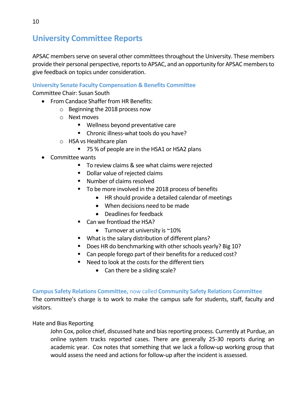# <span id="page-9-0"></span>**University Committee Reports**

APSAC members serve on several other committees throughout the University. These members provide their personal perspective, reports to APSAC, and an opportunity for APSAC members to give feedback on topics under consideration.

## <span id="page-9-1"></span>**University Senate Faculty Compensation & Benefits Committee**

Committee Chair: Susan South

- From Candace Shaffer from HR Benefits:
	- o Beginning the 2018 process now
	- o Next moves
		- Wellness beyond preventative care
		- **EX Chronic illness-what tools do you have?**
	- o HSA vs Healthcare plan
		- 75 % of people are in the HSA1 or HSA2 plans
- Committee wants
	- To review claims & see what claims were rejected
	- **•** Dollar value of rejected claims
	- Number of claims resolved
	- To be more involved in the 2018 process of benefits
		- HR should provide a detailed calendar of meetings
		- When decisions need to be made
		- Deadlines for feedback
	- Can we frontload the HSA?
		- Turnover at university is  $~10\%$
	- **What is the salary distribution of different plans?**
	- Does HR do benchmarking with other schools yearly? Big 10?
	- Can people forego part of their benefits for a reduced cost?
	- Need to look at the costs for the different tiers
		- Can there be a sliding scale?

#### <span id="page-9-2"></span>**Campus Safety Relations Committee,** now called **Community Safety Relations Committee**

The committee's charge is to work to make the campus safe for students, staff, faculty and visitors.

#### Hate and Bias Reporting

John Cox, police chief, discussed hate and bias reporting process. Currently at Purdue, an online system tracks reported cases. There are generally 25-30 reports during an academic year. Cox notes that something that we lack a follow-up working group that would assess the need and actions for follow-up after the incident is assessed.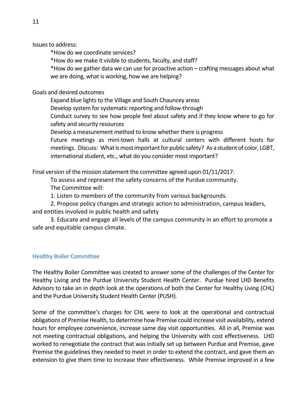Issues to address:

\*How do we coordinate services?

\*How do we make it visible to students, faculty, and staff?

\*How do we gather data we can use for proactive action – crafting messages about what we are doing, what is working, how we are helping?

#### Goals and desired outcomes

Expand blue lights to the Village and South Chauncey areas

Develop system for systematic reporting and follow-through

Conduct survey to see how people feel about safety and if they know where to go for safety and security resources

Develop a measurement method to know whether there is progress

Future meetings as mini-town halls at cultural centers with different hosts for meetings. Discuss: What is most important for public safety? As a student of color, LGBT, international student, etc., what do you consider most important?

Final version of the mission statement the committee agreed upon 01/11/2017:

To assess and represent the safety concerns of the Purdue community. The Committee will:

1. Listen to members of the community from various backgrounds.

2. Propose policy changes and strategic action to administration, campus leaders, and entities involved in public health and safety

3. Educate and engage all levels of the campus community in an effort to promote a safe and equitable campus climate.

#### <span id="page-10-0"></span>**Healthy Boiler Committee**

The Healthy Boiler Committee was created to answer some of the challenges of the Center for Healthy Living and the Purdue University Student Health Center. Purdue hired LHD Benefits Advisors to take an in depth look at the operations of both the Center for Healthy Living (CHL) and the Purdue University Student Health Center (PUSH).

Some of the committee's charges for CHL were to look at the operational and contractual obligations of Premise Health, to determine how Premise could increase visit availability, extend hours for employee convenience, increase same day visit opportunities. All in all, Premise was not meeting contractual obligations, and helping the University with cost effectiveness. LHD worked to renegotiate the contract that was initially set up between Purdue and Premise, gave Premise the guidelines they needed to meet in order to extend the contract, and gave them an extension to give them time to increase their effectiveness. While Premise improved in a few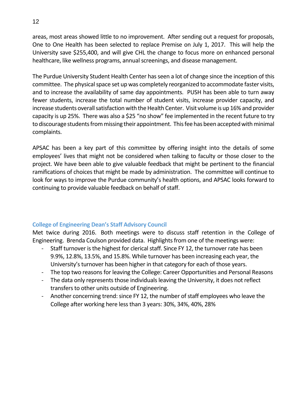areas, most areas showed little to no improvement. After sending out a request for proposals, One to One Health has been selected to replace Premise on July 1, 2017. This will help the University save \$255,400, and will give CHL the change to focus more on enhanced personal healthcare, like wellness programs, annual screenings, and disease management.

The Purdue University Student Health Center has seen a lot of change since the inception of this committee. The physical space set up was completely reorganized to accommodate faster visits, and to increase the availability of same day appointments. PUSH has been able to turn away fewer students, increase the total number of student visits, increase provider capacity, and increase students overall satisfaction with the Health Center. Visit volume is up 16% and provider capacity is up 25%. There was also a \$25 "no show" fee implemented in the recent future to try to discourage students from missing their appointment. This fee has been accepted with minimal complaints.

APSAC has been a key part of this committee by offering insight into the details of some employees' lives that might not be considered when talking to faculty or those closer to the project. We have been able to give valuable feedback that might be pertinent to the financial ramifications of choices that might be made by administration. The committee will continue to look for ways to improve the Purdue community's health options, and APSAC looks forward to continuing to provide valuable feedback on behalf of staff.

#### <span id="page-11-0"></span>**College of Engineering Dean's Staff Advisory Council**

Met twice during 2016. Both meetings were to discuss staff retention in the College of Engineering. Brenda Coulson provided data. Highlights from one of the meetings were:

- Staff turnover is the highest for clerical staff. Since FY 12, the turnover rate has been 9.9%, 12.8%, 13.5%, and 15.8%. While turnover has been increasing each year, the University's turnover has been higher in that category for each of those years.
- The top two reasons for leaving the College: Career Opportunities and Personal Reasons
- The data only represents those individuals leaving the University, it does not reflect transfers to other units outside of Engineering.
- <span id="page-11-1"></span>- Another concerning trend: since FY 12, the number of staff employees who leave the College after working here less than 3 years: 30%, 34%, 40%, 28%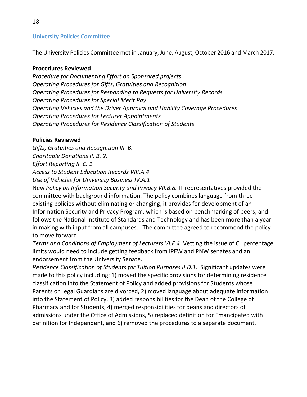The University Policies Committee met in January, June, August, October 2016 and March 2017.

#### **Procedures Reviewed**

*Procedure for Documenting Effort on Sponsored projects Operating Procedures for Gifts, Gratuities and Recognition Operating Procedures for Responding to Requests for University Records Operating Procedures for Special Merit Pay Operating Vehicles and the Driver Approval and Liability Coverage Procedures Operating Procedures for Lecturer Appointments Operating Procedures for Residence Classification of Students*

#### **Policies Reviewed**

*Gifts, Gratuities and Recognition III. B. Charitable Donations II. B. 2. Effort Reporting II. C. 1. Access to Student Education Records VIII.A.4 Use of Vehicles for University Business IV.A.1* 

New *Policy on Information Security and Privacy VII.B.8.* IT representatives provided the committee with background information. The policy combines language from three existing policies without eliminating or changing, it provides for development of an Information Security and Privacy Program, which is based on benchmarking of peers, and follows the National Institute of Standards and Technology and has been more than a year in making with input from all campuses. The committee agreed to recommend the policy to move forward.

*Terms and Conditions of Employment of Lecturers VI.F.4.* Vetting the issue of CL percentage limits would need to include getting feedback from IPFW and PNW senates and an endorsement from the University Senate.

<span id="page-12-0"></span>*Residence Classification of Students for Tuition Purposes II.D.1.* Significant updates were made to this policy including: 1) moved the specific provisions for determining residence classification into the Statement of Policy and added provisions for Students whose Parents or Legal Guardians are divorced, 2) moved language about adequate information into the Statement of Policy, 3) added responsibilities for the Dean of the College of Pharmacy and for Students, 4) merged responsibilities for deans and directors of admissions under the Office of Admissions, 5) replaced definition for Emancipated with definition for Independent, and 6) removed the procedures to a separate document.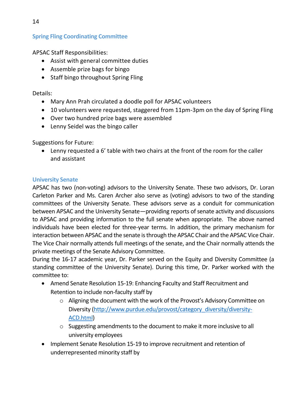APSAC Staff Responsibilities:

- Assist with general committee duties
- Assemble prize bags for bingo
- Staff bingo throughout Spring Fling

Details:

- Mary Ann Prah circulated a doodle poll for APSAC volunteers
- 10 volunteers were requested, staggered from 11pm-3pm on the day of Spring Fling
- Over two hundred prize bags were assembled
- Lenny Seidel was the bingo caller

Suggestions for Future:

 Lenny requested a 6' table with two chairs at the front of the room for the caller and assistant

## <span id="page-13-0"></span>**University Senate**

APSAC has two (non-voting) advisors to the University Senate. These two advisors, Dr. Loran Carleton Parker and Ms. Caren Archer also serve as (voting) advisors to two of the standing committees of the University Senate. These advisors serve as a conduit for communication between APSAC and the University Senate—providing reports of senate activity and discussions to APSAC and providing information to the full senate when appropriate. The above named individuals have been elected for three-year terms. In addition, the primary mechanism for interaction between APSAC and the senate is through the APSAC Chair and the APSAC Vice Chair. The Vice Chair normally attends full meetings of the senate, and the Chair normally attends the private meetings of the Senate Advisory Committee.

During the 16-17 academic year, Dr. Parker served on the Equity and Diversity Committee (a standing committee of the University Senate). During this time, Dr. Parker worked with the committee to:

- Amend Senate Resolution 15-19: Enhancing Faculty and Staff Recruitment and Retention to include non-faculty staff by
	- $\circ$  Aligning the document with the work of the Provost's Advisory Committee on Diversity [\(http://www.purdue.edu/provost/category\\_diversity/diversity-](http://www.purdue.edu/provost/category_diversity/diversity-ACD.html)[ACD.html\)](http://www.purdue.edu/provost/category_diversity/diversity-ACD.html)
	- o Suggesting amendments to the document to make it more inclusive to all university employees
- Implement Senate Resolution 15-19 to improve recruitment and retention of underrepresented minority staff by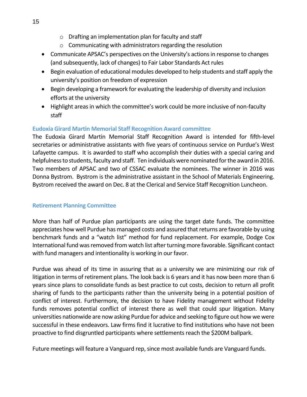- o Drafting an implementation plan for faculty and staff
- o Communicating with administrators regarding the resolution
- Communicate APSAC's perspectives on the University's actions in response to changes (and subsequently, lack of changes) to Fair Labor Standards Act rules
- Begin evaluation of educational modules developed to help students and staff apply the university's position on freedom of expression
- Begin developing a framework for evaluating the leadership of diversity and inclusion efforts at the university
- Highlight areas in which the committee's work could be more inclusive of non-faculty staff

## <span id="page-14-0"></span>**Eudoxia Girard Martin Memorial Staff Recognition Award committee**

The Eudoxia Girard Martin Memorial Staff Recognition Award is intended for fifth-level secretaries or administrative assistants with five years of continuous service on Purdue's West Lafayette campus. It is awarded to staff who accomplish their duties with a special caring and helpfulness to students, faculty and staff. Ten individuals were nominated for the award in 2016. Two members of APSAC and two of CSSAC evaluate the nominees. The winner in 2016 was Donna Bystrom. Bystrom is the administrative assistant in the School of Materials Engineering. Bystrom received the award on Dec. 8 at the Clerical and Service Staff Recognition Luncheon.

#### <span id="page-14-1"></span>**Retirement Planning Committee**

More than half of Purdue plan participants are using the target date funds. The committee appreciates how well Purdue has managed costs and assured that returns are favorable by using benchmark funds and a "watch list" method for fund replacement. For example, Dodge Cox International fund was removed from watch list after turning more favorable. Significant contact with fund managers and intentionality is working in our favor.

Purdue was ahead of its time in assuring that as a university we are minimizing our risk of litigation in terms of retirement plans. The look back is 6 years and it has now been more than 6 years since plans to consolidate funds as best practice to cut costs, decision to return all profit sharing of funds to the participants rather than the university being in a potential position of conflict of interest. Furthermore, the decision to have Fidelity management without Fidelity funds removes potential conflict of interest there as well that could spur litigation. Many universities nationwide are now asking Purdue for advice and seeking to figure out how we were successful in these endeavors. Law firms find it lucrative to find institutions who have not been proactive to find disgruntled participants where settlements reach the \$200M ballpark.

Future meetings will feature a Vanguard rep, since most available funds are Vanguard funds.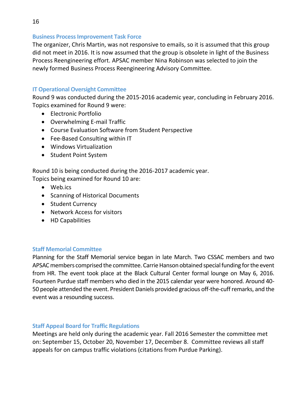#### <span id="page-15-0"></span>**Business Process Improvement Task Force**

The organizer, Chris Martin, was not responsive to emails, so it is assumed that this group did not meet in 2016. It is now assumed that the group is obsolete in light of the Business Process Reengineering effort. APSAC member Nina Robinson was selected to join the newly formed Business Process Reengineering Advisory Committee.

#### <span id="page-15-1"></span>**IT Operational Oversight Committee**

Round 9 was conducted during the 2015-2016 academic year, concluding in February 2016. Topics examined for Round 9 were:

- Electronic Portfolio
- Overwhelming E-mail Traffic
- Course Evaluation Software from Student Perspective
- Fee-Based Consulting within IT
- Windows Virtualization
- Student Point System

Round 10 is being conducted during the 2016-2017 academic year.

Topics being examined for Round 10 are:

- Web.ics
- Scanning of Historical Documents
- Student Currency
- Network Access for visitors
- HD Capabilities

#### <span id="page-15-2"></span>**Staff Memorial Committee**

Planning for the Staff Memorial service began in late March. Two CSSAC members and two APSAC members comprised the committee. Carrie Hanson obtained special funding for the event from HR. The event took place at the Black Cultural Center formal lounge on May 6, 2016. Fourteen Purdue staff members who died in the 2015 calendar year were honored. Around 40- 50 people attended the event. President Daniels provided gracious off-the-cuff remarks, and the event was a resounding success.

#### <span id="page-15-3"></span>**Staff Appeal Board for Traffic Regulations**

Meetings are held only during the academic year. Fall 2016 Semester the committee met on: September 15, October 20, November 17, December 8. Committee reviews all staff appeals for on campus traffic violations (citations from Purdue Parking).